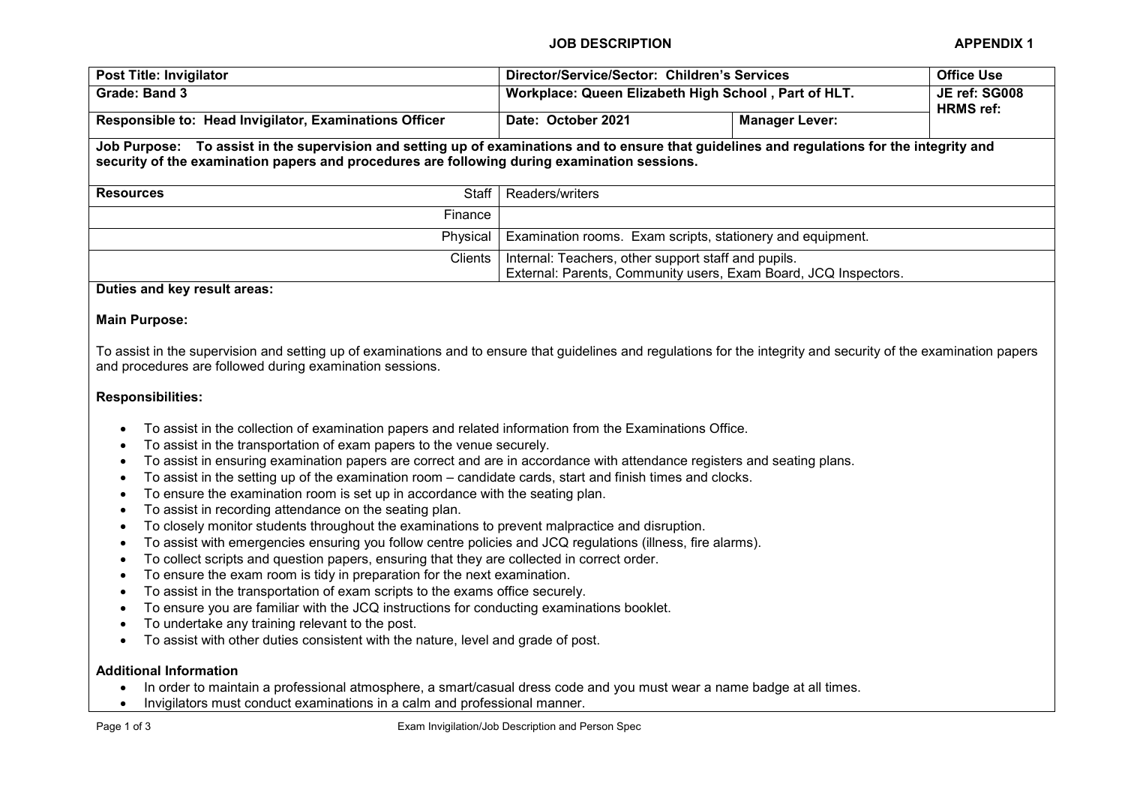JOB DESCRIPTION APPENDIX 1

| Post Title: Invigilator                                                                                                                                                                                                                      |              | Director/Service/Sector: Children's Services               |                                                                 | <b>Office Use</b>                 |  |  |
|----------------------------------------------------------------------------------------------------------------------------------------------------------------------------------------------------------------------------------------------|--------------|------------------------------------------------------------|-----------------------------------------------------------------|-----------------------------------|--|--|
| Grade: Band 3                                                                                                                                                                                                                                |              | Workplace: Queen Elizabeth High School, Part of HLT.       |                                                                 | JE ref: SG008<br><b>HRMS</b> ref: |  |  |
| Responsible to: Head Invigilator, Examinations Officer                                                                                                                                                                                       |              | Date: October 2021                                         | <b>Manager Lever:</b>                                           |                                   |  |  |
| Job Purpose: To assist in the supervision and setting up of examinations and to ensure that guidelines and regulations for the integrity and<br>security of the examination papers and procedures are following during examination sessions. |              |                                                            |                                                                 |                                   |  |  |
| <b>Resources</b>                                                                                                                                                                                                                             | <b>Staff</b> | Readers/writers                                            |                                                                 |                                   |  |  |
|                                                                                                                                                                                                                                              | Finance      |                                                            |                                                                 |                                   |  |  |
| Physical<br>Clients                                                                                                                                                                                                                          |              | Examination rooms. Exam scripts, stationery and equipment. |                                                                 |                                   |  |  |
|                                                                                                                                                                                                                                              |              | Internal: Teachers, other support staff and pupils.        |                                                                 |                                   |  |  |
|                                                                                                                                                                                                                                              |              |                                                            | External: Parents, Community users, Exam Board, JCQ Inspectors. |                                   |  |  |
| Duties and key result areas:                                                                                                                                                                                                                 |              |                                                            |                                                                 |                                   |  |  |

## Main Purpose:

To assist in the supervision and setting up of examinations and to ensure that guidelines and regulations for the integrity and security of the examination papers and procedures are followed during examination sessions.

# Responsibilities:

- To assist in the collection of examination papers and related information from the Examinations Office.
- To assist in the transportation of exam papers to the venue securely.
- To assist in ensuring examination papers are correct and are in accordance with attendance registers and seating plans.
- To assist in the setting up of the examination room candidate cards, start and finish times and clocks.
- To ensure the examination room is set up in accordance with the seating plan.
- To assist in recording attendance on the seating plan.
- To closely monitor students throughout the examinations to prevent malpractice and disruption.
- To assist with emergencies ensuring you follow centre policies and JCQ regulations (illness, fire alarms).
- To collect scripts and question papers, ensuring that they are collected in correct order.
- To ensure the exam room is tidy in preparation for the next examination.
- To assist in the transportation of exam scripts to the exams office securely.
- To ensure you are familiar with the JCQ instructions for conducting examinations booklet.
- To undertake any training relevant to the post.
- To assist with other duties consistent with the nature, level and grade of post.

#### Additional Information

- In order to maintain a professional atmosphere, a smart/casual dress code and you must wear a name badge at all times.
- Invigilators must conduct examinations in a calm and professional manner.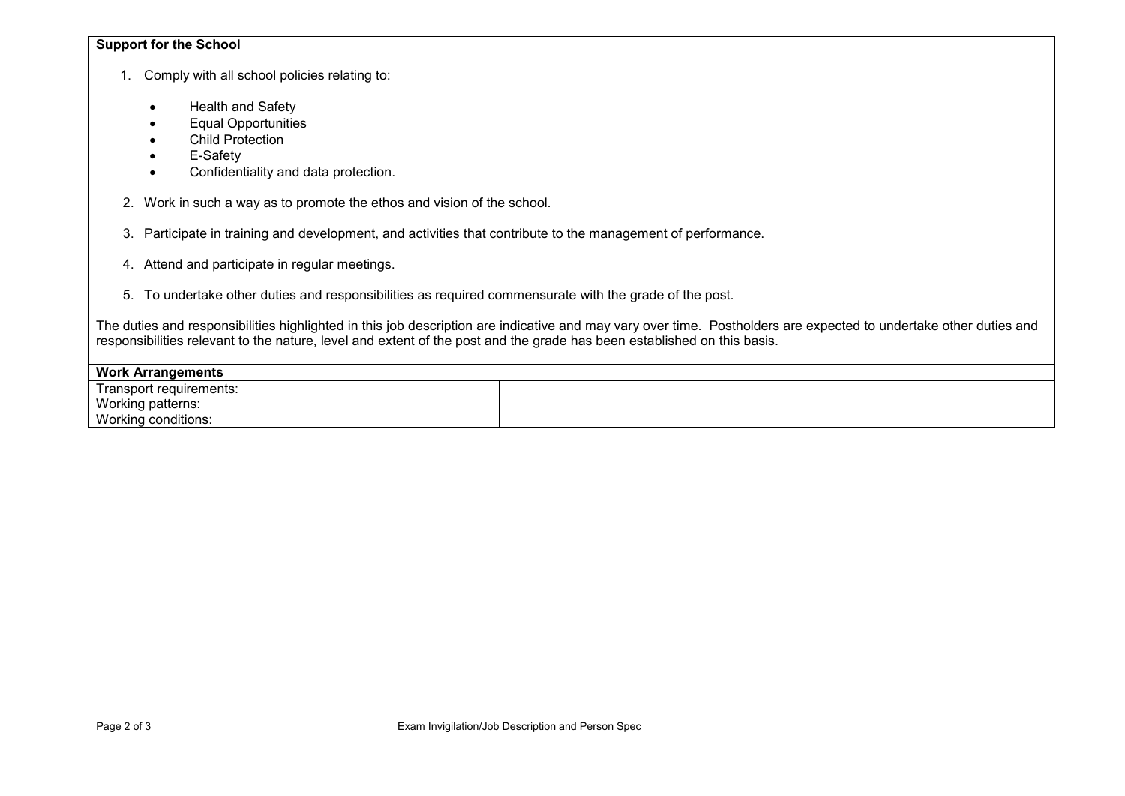## Support for the School

- 1. Comply with all school policies relating to:
	- Health and Safety
	- Equal Opportunities
	- Child Protection
	- **E-Safety**
	- Confidentiality and data protection.
- 2. Work in such a way as to promote the ethos and vision of the school.
- 3. Participate in training and development, and activities that contribute to the management of performance.
- 4. Attend and participate in regular meetings.
- 5. To undertake other duties and responsibilities as required commensurate with the grade of the post.

The duties and responsibilities highlighted in this job description are indicative and may vary over time. Postholders are expected to undertake other duties and responsibilities relevant to the nature, level and extent of the post and the grade has been established on this basis.

| <b>Work Arrangements</b> |  |
|--------------------------|--|
| Transport requirements:  |  |
| Working patterns:        |  |
| Working conditions:      |  |